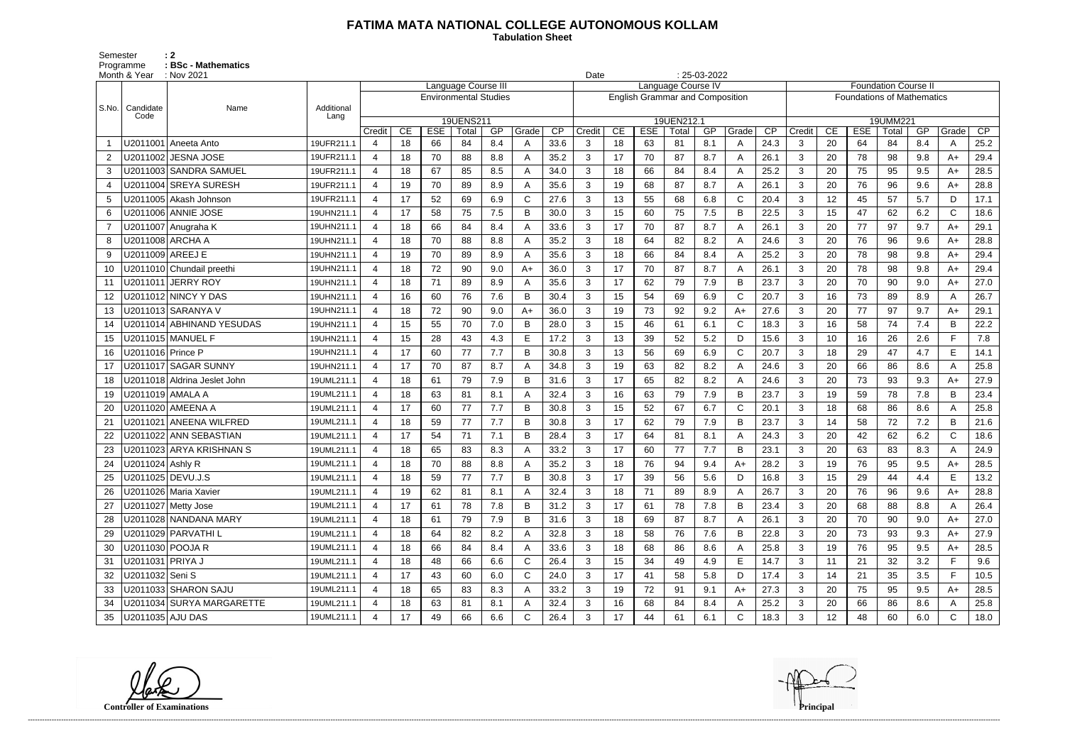## **FATIMA MATA NATIONAL COLLEGE AUTONOMOUS KOLLAM**

Semester : 2 Programme **: BSc - Mathematics**  **Tabulation Sheet** 

|       | Month & Year      | : Nov 2021<br>Language Course III |            |                       |    |            |                              |     |       |      |                                        |    |            | $: 25-03-2022$<br>Date<br>Language Course IV |     |              |                 |                             |                                   |            |       |     |              |      |  |
|-------|-------------------|-----------------------------------|------------|-----------------------|----|------------|------------------------------|-----|-------|------|----------------------------------------|----|------------|----------------------------------------------|-----|--------------|-----------------|-----------------------------|-----------------------------------|------------|-------|-----|--------------|------|--|
|       |                   |                                   |            |                       |    |            |                              |     |       |      |                                        |    |            |                                              |     |              |                 | <b>Foundation Course II</b> |                                   |            |       |     |              |      |  |
| S.No. | Candidate         | Name                              | Additional |                       |    |            | <b>Environmental Studies</b> |     |       |      | <b>English Grammar and Composition</b> |    |            |                                              |     |              |                 |                             | <b>Foundations of Mathematics</b> |            |       |     |              |      |  |
|       | Code              |                                   | Lang       |                       |    |            | 19UENS211                    |     |       |      |                                        |    |            | 19UEN212.1                                   |     |              |                 | 19UMM221                    |                                   |            |       |     |              |      |  |
|       |                   |                                   |            | Credit                | CE | <b>ESE</b> | Total                        | GP  | Grade | CP   | Credit                                 | CE | <b>ESE</b> | Total                                        | GP  | Grade        | $\overline{CP}$ | Credit                      | CE                                | <b>ESE</b> | Total | GP  | Grade        | CP   |  |
|       |                   | U2011001 Aneeta Anto              | 19UFR211.1 | 4                     | 18 | 66         | 84                           | 8.4 | A     | 33.6 | 3                                      | 18 | 63         | 81                                           | 8.1 | A            | 24.3            | 3                           | 20                                | 64         | 84    | 8.4 | A            | 25.2 |  |
| 2     |                   | U2011002 JESNA JOSE               | 19UFR211.1 | 4                     | 18 | 70         | 88                           | 8.8 |       | 35.2 | 3                                      | 17 | 70         | 87                                           | 8.7 | A            | 26.1            | 3                           | 20                                | 78         | 98    | 9.8 | A+           | 29.4 |  |
| 3     |                   | U2011003 SANDRA SAMUEL            | 19UFR211.1 | 4                     | 18 | 67         | 85                           | 8.5 | A     | 34.0 | $\mathbf{3}$                           | 18 | 66         | 84                                           | 8.4 | A            | 25.2            | 3                           | 20                                | 75         | 95    | 9.5 | $A+$         | 28.5 |  |
|       |                   | U2011004 SREYA SURESH             | 19UFR211.1 | $\boldsymbol{\Delta}$ | 19 | 70         | 89                           | 8.9 |       | 35.6 | 3                                      | 19 | 68         | 87                                           | 8.7 | A            | 26.1            | 3                           | 20                                | 76         | 96    | 9.6 | A+           | 28.8 |  |
| 5     |                   | U2011005 Akash Johnson            | 19UFR211.1 | $\boldsymbol{\Delta}$ | 17 | 52         | 69                           | 6.9 | C     | 27.6 | 3                                      | 13 | 55         | 68                                           | 6.8 | $\mathsf{C}$ | 20.4            | 3                           | 12                                | 45         | 57    | 5.7 | D            | 17.1 |  |
| 6     |                   | U2011006 ANNIE JOSE               | 19UHN211.1 | 4                     | 17 | 58         | 75                           | 7.5 | B     | 30.0 | 3                                      | 15 | 60         | 75                                           | 7.5 | B            | 22.5            | 3                           | 15                                | 47         | 62    | 6.2 | $\mathsf{C}$ | 18.6 |  |
|       |                   | U2011007 Anugraha K               | 19UHN211.1 | $\boldsymbol{\Delta}$ | 18 | 66         | 84                           | 8.4 |       | 33.6 | 3                                      | 17 | 70         | 87                                           | 8.7 | A            | 26.1            | 3                           | 20                                | 77         | 97    | 9.7 | A+           | 29.1 |  |
| 8     | U2011008 ARCHA A  |                                   | 19UHN211.1 | $\boldsymbol{\Delta}$ | 18 | 70         | 88                           | 8.8 | A     | 35.2 | $\mathbf{3}$                           | 18 | 64         | 82                                           | 8.2 | A            | 24.6            | 3                           | 20                                | 76         | 96    | 9.6 | A+           | 28.8 |  |
| 9     | U2011009 AREEJ E  |                                   | 19UHN211.1 | $\boldsymbol{\Delta}$ | 19 | 70         | 89                           | 8.9 |       | 35.6 | 3                                      | 18 | 66         | 84                                           | 8.4 | A            | 25.2            | 3                           | 20                                | 78         | 98    | 9.8 | A+           | 29.4 |  |
| 10    |                   | U2011010 Chundail preethi         | 19UHN211.1 | $\overline{4}$        | 18 | 72         | 90                           | 9.0 | $A+$  | 36.0 | 3                                      | 17 | 70         | 87                                           | 8.7 | A            | 26.1            | 3                           | 20                                | 78         | 98    | 9.8 | A+           | 29.4 |  |
| 11    |                   | U2011011 JERRY ROY                | 19UHN211.1 | 4                     | 18 | 71         | 89                           | 8.9 |       | 35.6 | 3                                      | 17 | 62         | 79                                           | 7.9 | B            | 23.7            | 3                           | 20                                | 70         | 90    | 9.0 | A+           | 27.0 |  |
| 12    |                   |                                   | 19UHN211.1 | $\boldsymbol{\Delta}$ | 16 | 60         | 76                           | 7.6 | B     | 30.4 | 3                                      | 15 | 54         | 69                                           | 6.9 | $\mathsf{C}$ | 20.7            | 3                           | 16                                | 73         | 89    | 8.9 | A            | 26.7 |  |
| 13    |                   | U2011013 SARANYA V                | 19UHN211.1 | 4                     | 18 | 72         | 90                           | 9.0 | $A+$  | 36.0 | $\mathbf{3}$                           | 19 | 73         | 92                                           | 9.2 | $A+$         | 27.6            | 3                           | 20                                | 77         | 97    | 9.7 | $A+$         | 29.1 |  |
| 14    |                   | U2011014 ABHINAND YESUDAS         | 19UHN211.1 | $\boldsymbol{\Delta}$ | 15 | 55         | 70                           | 7.0 | B     | 28.0 | 3                                      | 15 | 46         | 61                                           | 6.1 | $\mathsf{C}$ | 18.3            | 3                           | 16                                | 58         | 74    | 7.4 | B            | 22.2 |  |
| 15    |                   | U2011015   MANUEL F               | 19UHN211.1 | 4                     | 15 | 28         | 43                           | 4.3 | E     | 17.2 | 3                                      | 13 | 39         | 52                                           | 5.2 | D            | 15.6            | 3                           | 10                                | 16         | 26    | 2.6 | F.           | 7.8  |  |
| 16    | U2011016 Prince P |                                   | 19UHN211.1 | 4                     | 17 | 60         | 77                           | 7.7 | B     | 30.8 | 3                                      | 13 | 56         | 69                                           | 6.9 | $\mathsf{C}$ | 20.7            | 3                           | 18                                | 29         | 47    | 4.7 | E            | 14.1 |  |
| 17    |                   | U2011017 SAGAR SUNNY              | 19UHN211.1 | $\boldsymbol{\Delta}$ | 17 | 70         | 87                           | 8.7 |       | 34.8 | 3                                      | 19 | 63         | 82                                           | 8.2 | A            | 24.6            | 3                           | 20                                | 66         | 86    | 8.6 | A            | 25.8 |  |
| 18    |                   | U2011018 Aldrina Jeslet John      | 19UML211.1 | $\boldsymbol{\Delta}$ | 18 | 61         | 79                           | 7.9 | B     | 31.6 | $\mathbf{3}$                           | 17 | 65         | 82                                           | 8.2 | A            | 24.6            | 3                           | 20                                | 73         | 93    | 9.3 | A+           | 27.9 |  |
| 19    | U2011019 AMALA A  |                                   | 19UML211.1 | $\boldsymbol{\Delta}$ | 18 | 63         | 81                           | 8.1 |       | 32.4 | 3                                      | 16 | 63         | 79                                           | 7.9 | B            | 23.7            | 3                           | 19                                | 59         | 78    | 7.8 | B            | 23.4 |  |
| 20    |                   | U2011020 AMEENA A                 | 19UML211.1 | 4                     | 17 | 60         | 77                           | 7.7 | B     | 30.8 | 3                                      | 15 | 52         | 67                                           | 6.7 | $\mathsf{C}$ | 20.1            | 3                           | 18                                | 68         | 86    | 8.6 | A            | 25.8 |  |
| 21    |                   | U2011021 ANEENA WILFRED           | 19UML211.1 | 4                     | 18 | 59         | 77                           | 7.7 | B     | 30.8 | 3                                      | 17 | 62         | 79                                           | 7.9 | B            | 23.7            | 3                           | 14                                | 58         | 72    | 7.2 | B            | 21.6 |  |
|       |                   | U2011022 ANN SEBASTIAN            | 19UML211.1 | $\boldsymbol{\Delta}$ | 17 | 54         | 71                           | 7.1 | B     | 28.4 | 3                                      | 17 | 64         | 81                                           | 8.1 | A            | 24.3            | 3                           | 20                                | 42         | 62    | 6.2 | $\mathsf C$  | 18.6 |  |
| 23    |                   | U2011023 ARYA KRISHNAN S          | 19UML211.1 | 4                     | 18 | 65         | 83                           | 8.3 | А     | 33.2 | 3                                      | 17 | 60         | 77                                           | 7.7 | B            | 23.1            | 3                           | 20                                | 63         | 83    | 8.3 | A            | 24.9 |  |
| 24    | U2011024 Ashly R  |                                   | 19UML211.1 |                       | 18 | 70         | 88                           | 8.8 |       | 35.2 | 3                                      | 18 | 76         | 94                                           | 9.4 | A+           | 28.2            | 3                           | 19                                | 76         | 95    | 9.5 | A+           | 28.5 |  |
|       | U2011025 DEVU.J.S |                                   | 19UML211.1 | 4                     | 18 | 59         | 77                           | 7.7 | B     | 30.8 | 3                                      | 17 | 39         | 56                                           | 5.6 | D            | 16.8            | 3                           | 15                                | 29         | 44    | 4.4 | E            | 13.2 |  |
| 26    |                   | U2011026 Maria Xavier             | 19UML211.1 | 4                     | 19 | 62         | 81                           | 8.1 |       | 32.4 | 3                                      | 18 | 71         | 89                                           | 8.9 | A            | 26.7            | $\mathbf{3}$                | 20                                | 76         | 96    | 9.6 | $A+$         | 28.8 |  |
| 27    |                   | U2011027 Metty Jose               | 19UML211.1 | $\overline{4}$        | 17 | 61         | 78                           | 7.8 | B     | 31.2 | 3                                      | 17 | 61         | 78                                           | 7.8 | B            | 23.4            | $\mathbf{3}$                | 20                                | 68         | 88    | 8.8 | A            | 26.4 |  |
|       |                   | U2011028 NANDANA MARY             | 19UML211.1 | 4                     | 18 | 61         | 79                           | 7.9 | B     | 31.6 | 3 <sup>1</sup>                         | 18 | 69         | 87                                           | 8.7 | A            | 26.1            | 3                           | 20                                | 70         | 90    | 9.0 | $A+$         | 27.0 |  |
| 29    |                   | U2011029 PARVATHI L               | 19UML211.1 | 4                     | 18 | 64         | 82                           | 8.2 |       | 32.8 | 3                                      | 18 | 58         | 76                                           | 7.6 | B            | 22.8            | $\mathbf{3}$                | 20                                | 73         | 93    | 9.3 | $A+$         | 27.9 |  |
| 30    | U2011030 POOJA R  |                                   | 19UML211.1 | 4                     | 18 | 66         | 84                           | 8.4 | A     | 33.6 | 3                                      | 18 | 68         | 86                                           | 8.6 | A            | 25.8            | $\mathbf{3}$                | 19                                | 76         | 95    | 9.5 | $A+$         | 28.5 |  |
| 31    | U2011031 PRIYA J  |                                   | 19UML211.1 | 4                     | 18 | 48         | 66                           | 6.6 | C.    | 26.4 | 3                                      | 15 | 34         | 49                                           | 4.9 | E            | 14.7            | $\mathbf{3}$                | 11                                | 21         | 32    | 3.2 | F.           | 9.6  |  |
| 32    | U2011032 Seni S   |                                   | 19UML211.1 | $\overline{4}$        | 17 | 43         | 60                           | 6.0 | C     | 24.0 | $\mathbf{3}$                           | 17 | 41         | 58                                           | 5.8 | D            | 17.4            | $\mathbf{3}$                | 14                                | 21         | 35    | 3.5 | F            | 10.5 |  |
|       |                   | U2011033 SHARON SAJU              | 19UML211.1 | 4                     | 18 | 65         | 83                           | 8.3 |       | 33.2 | 3                                      | 19 | 72         | 91                                           | 9.1 | $A+$         | 27.3            | 3                           | 20                                | 75         | 95    | 9.5 | $A+$         | 28.5 |  |
| 34    |                   | U2011034 SURYA MARGARETTE         | 19UML211.1 |                       | 18 | 63         | 81                           | 8.1 |       | 32.4 | $\mathbf{3}$                           | 16 | 68         | 84                                           | 8.4 | A            | 25.2            | $\mathbf{3}$                | 20                                | 66         | 86    | 8.6 |              | 25.8 |  |
| 35    | U2011035 AJU DAS  |                                   | 19UML211.1 |                       | 17 | 49         | 66                           | 6.6 | C     | 26.4 | 3 <sup>1</sup>                         | 17 | 44         | 61                                           | 6.1 | C            | 18.3            | $\mathbf{3}$                | 12 <sub>2</sub>                   | 48         | 60    | 6.0 | $\mathsf{C}$ | 18.0 |  |

**Controller of Examinations Principal**

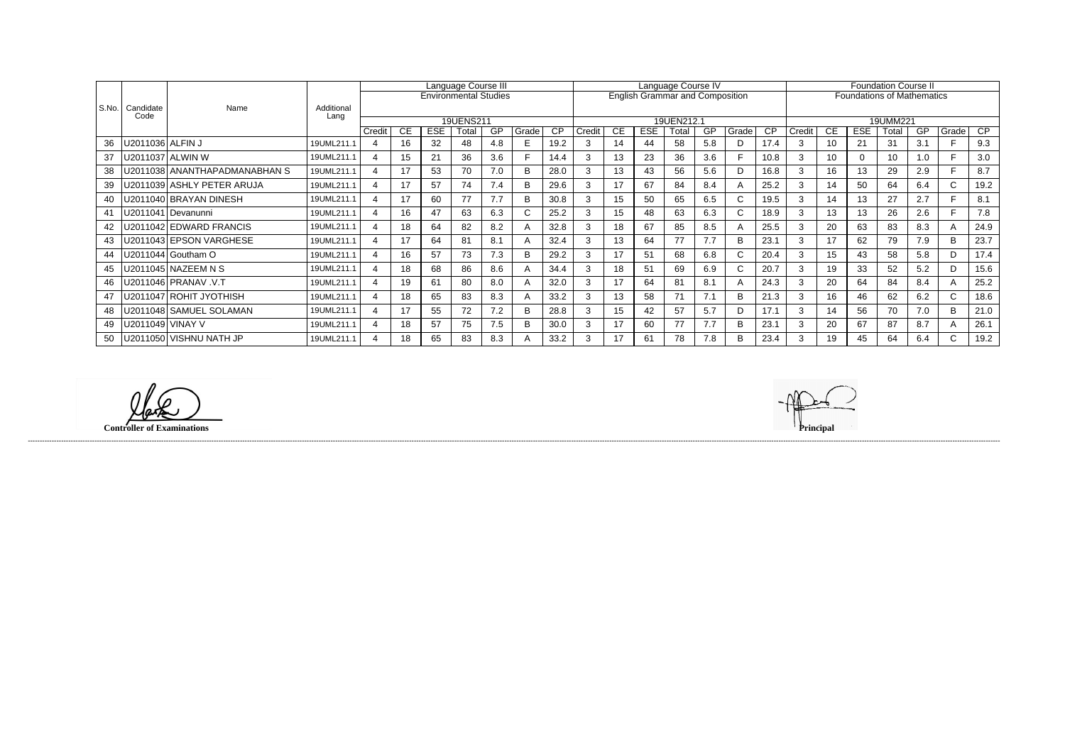|         |                   |                               |                    | Language Course III      |           |            |                              |           |             |      | Language Course IV |           |            |                                        |     |              |           |        | <b>Foundation Course II</b> |            |                                   |     |              |                 |  |
|---------|-------------------|-------------------------------|--------------------|--------------------------|-----------|------------|------------------------------|-----------|-------------|------|--------------------|-----------|------------|----------------------------------------|-----|--------------|-----------|--------|-----------------------------|------------|-----------------------------------|-----|--------------|-----------------|--|
|         |                   |                               |                    |                          |           |            | <b>Environmental Studies</b> |           |             |      |                    |           |            | <b>English Grammar and Composition</b> |     |              |           |        |                             |            | <b>Foundations of Mathematics</b> |     |              |                 |  |
| l S.No. | Candidate<br>Code | Name                          | Additional<br>Lang |                          |           |            |                              |           |             |      |                    |           |            |                                        |     |              |           |        |                             |            |                                   |     |              |                 |  |
|         |                   |                               |                    |                          |           |            | 19UENS211                    |           |             |      |                    |           |            | 19UEN212.1                             |     |              |           |        |                             |            | 19UMM221                          |     |              |                 |  |
|         |                   |                               |                    | Credit                   | <b>CE</b> | <b>ESE</b> | Total                        | <b>GP</b> | Grade       | CP   | Credit             | <b>CE</b> | <b>ESE</b> | Total                                  | GP  | Grade        | <b>CP</b> | Credit | СE                          | <b>ESE</b> | Total                             | GP  | Grade        | $\overline{CP}$ |  |
| 36      | J2011036 ALFIN J  |                               | 19UML211.1         | 4                        | 16        | 32         | 48                           | 4.8       |             | 19.2 |                    | 14        | 44         | 58                                     | 5.8 | D            | 17.4      | 3      | 10                          | 21         | 31                                | 3.1 |              | 9.3             |  |
| 37      |                   | U2011037 ALWIN W              | 19UML211.1         | $\boldsymbol{\varDelta}$ | 15        | 21         | 36                           | 3.6       |             | 14.4 |                    | 13        | 23         | 36                                     | 3.6 |              | 10.8      | 3      | 10 <sup>1</sup>             |            | 10                                | 1.0 |              | 3.0             |  |
| 38      |                   | U2011038 ANANTHAPADMANABHAN S | 19UML211.1         |                          |           | 53         | 70                           | 7.0       |             | 28.0 |                    | 13        | 43         | 56                                     | 5.6 | D            | 16.8      | 3      | 16                          | 13         | 29                                | 2.9 |              | 8.7             |  |
| 39      |                   | U2011039 ASHLY PETER ARUJA    | 19UML211.1         |                          | 17        | 57         | 74                           | 7.4       | R           | 29.6 |                    | 17        | 67         | 84                                     | 8.4 | A            | 25.2      | 3      | 14                          | 50         | 64                                | 6.4 | $\mathsf{C}$ | 19.2            |  |
| 40      |                   | J2011040 BRAYAN DINESH        | 19UML211.1         |                          | 17        | 60         | 77                           | 7.7       |             | 30.8 |                    | 15        | 50         | 65                                     | 6.5 | C.           | 19.5      | 3      | 14                          | 13         | 27                                | 2.7 |              | 8.1             |  |
| 41      |                   | U2011041 Devanunni            | 19UML211.1         | $\boldsymbol{\Lambda}$   | 16        | 47         | 63                           | 6.3       | $\sim$<br>U | 25.2 | 3                  | 15        | 48         | 63                                     | 6.3 | $\mathsf{C}$ | 18.9      | 3      | 13                          | 13         | 26                                | 2.6 |              | 7.8             |  |
| 42      |                   | J2011042 EDWARD FRANCIS       | 19UML211.1         |                          | 18        | 64         | 82                           | 8.2       |             | 32.8 |                    | 18        | 67         | 85                                     | 8.5 |              | 25.5      | 3      | 20                          | 63         | 83                                | 8.3 |              | 24.9            |  |
| 43      |                   | U2011043 EPSON VARGHESE       | 19UML211.1         |                          | 17        | 64         | 81                           | 8.1       |             | 32.4 |                    | 13        | 64         | 77                                     | 7.7 | B            | 23.1      | 3      | 17                          | 62         | 79                                | 7.9 | B.           | 23.7            |  |
| 44      |                   | J2011044 Goutham O            | 19UML211.1         |                          | 16        | 57         | 73                           | 7.3       | R           | 29.2 |                    | 17        | 51         | 68                                     | 6.8 | $\mathsf{C}$ | 20.4      | 3      | 15                          | 43         | 58                                | 5.8 | D.           | 17.4            |  |
| 45      |                   | U2011045   NAZEEM N S         | 19UML211.1         |                          | 18        | 68         | 86                           | 8.6       |             | 34.4 |                    | 18        | 51         | 69                                     | 6.9 | C.           | 20.7      | 3      | 19                          | 33         | 52                                | 5.2 |              | 15.6            |  |
| 46      |                   | J2011046   PRANAV .V.T        | 19UML211.1         | $\boldsymbol{\varDelta}$ | 19        | 61         | 80                           | 8.0       |             | 32.0 | 3                  | 17        | 64         | 81                                     | 8.1 | A            | 24.3      | 3      | 20                          | 64         | 84                                | 8.4 |              | 25.2            |  |
| 47      |                   | U2011047 ROHIT JYOTHISH       | 19UML211.1         |                          | 18        | 65         | 83                           | 8.3       |             | 33.2 |                    | 13        | 58         | 71                                     | 7.1 | B            | 21.3      | 3      | 16                          | 46         | 62                                | 6.2 | C.           | 18.6            |  |
| 48      |                   | U2011048 SAMUEL SOLAMAN       | 19UML211.1         |                          | 17        | 55         | 72                           | 7.2       | R           | 28.8 | З                  | 15        | 42         | 57                                     | 5.7 | D            | 17.1      | 3      | 14                          | 56         | 70                                | 7.0 | B            | 21.0            |  |
| 49      | J2011049          | <b>VINAY V</b>                | 19UML211.1         |                          | 18        | 57         | 75                           | 7.5       |             | 30.0 |                    | 17        | 60         | 77                                     | 7.7 | B            | 23.1      | 3      | 20                          | 67         | 87                                | 8.7 |              | 26.1            |  |
| 50      |                   | U2011050   VISHNU NATH JP     | 19UML211.1         |                          | 18        | 65         | 83                           | 8.3       |             | 33.2 | 3                  | 17        | 61         | 78                                     | 7.8 | B            | 23.4      | 3      | 19                          | 45         | 64                                | 6.4 | $\sim$       | 19.2            |  |

**Controller of Examinations** 

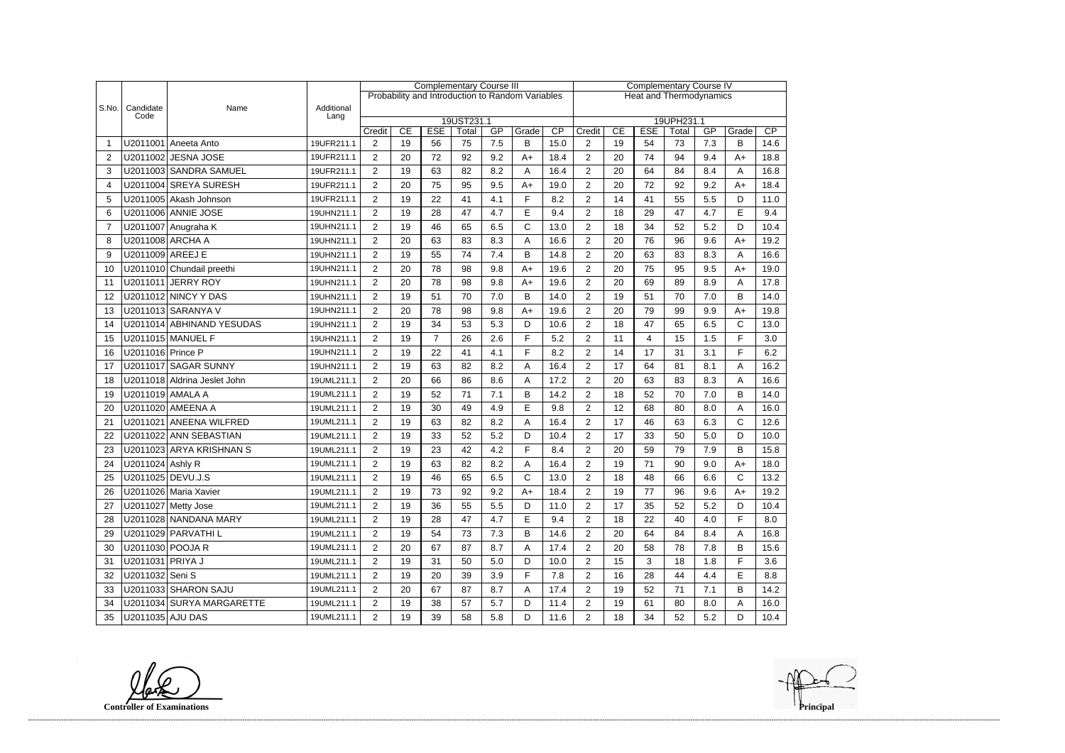|                |                   |                              |                    | <b>Complementary Course III</b> |                                                                                                                                   |                |    |         |                                                  |                                |                | <b>Complementary Course IV</b> |    |    |     |                      |      |  |
|----------------|-------------------|------------------------------|--------------------|---------------------------------|-----------------------------------------------------------------------------------------------------------------------------------|----------------|----|---------|--------------------------------------------------|--------------------------------|----------------|--------------------------------|----|----|-----|----------------------|------|--|
|                |                   |                              |                    |                                 |                                                                                                                                   |                |    |         | Probability and Introduction to Random Variables | <b>Heat and Thermodynamics</b> |                |                                |    |    |     |                      |      |  |
| S.No.          | Candidate<br>Code | Name                         | Additional<br>Lang |                                 |                                                                                                                                   |                |    |         |                                                  |                                |                |                                |    |    |     |                      |      |  |
|                |                   |                              |                    |                                 | 19UST231.1<br>19UPH231.1<br>CP<br>CE<br><b>ESE</b><br>GP<br>Grade<br>CE<br><b>ESE</b><br>GP<br>Credit<br>Total<br>Credit<br>Total |                |    |         |                                                  |                                |                |                                |    |    |     | Grade                | CP   |  |
|                |                   | U2011001 Aneeta Anto         | 19UFR211.1         | $\overline{2}$                  | 19                                                                                                                                | 56             | 75 | 7.5     | B                                                | 15.0                           | $\overline{2}$ | 19                             | 54 | 73 | 7.3 | B                    | 14.6 |  |
| $\overline{2}$ |                   | U2011002 JESNA JOSE          | 19UFR211.1         | $\overline{2}$                  | 20                                                                                                                                | 72             | 92 | 9.2     | $A+$                                             | 18.4                           | $\overline{2}$ | 20                             | 74 | 94 | 9.4 | $A+$                 | 18.8 |  |
| 3              |                   | U2011003 SANDRA SAMUEL       | 19UFR211.1         | $\overline{2}$                  | 19                                                                                                                                | 63             | 82 | 8.2     | A                                                | 16.4                           | $\overline{2}$ | 20                             | 64 | 84 | 8.4 | A                    | 16.8 |  |
| $\overline{4}$ |                   | U2011004 SREYA SURESH        | 19UFR211.1         | $\overline{2}$                  | 20                                                                                                                                | 75             | 95 | 9.5     | $A+$                                             | 19.0                           | $\overline{2}$ | 20                             | 72 | 92 | 9.2 | $A+$                 | 18.4 |  |
| 5              |                   | U2011005 Akash Johnson       | 19UFR211.1         | $\overline{2}$                  | 19                                                                                                                                | 22             | 41 | 4.1     | F                                                | 8.2                            | $\overline{2}$ | 14                             | 41 | 55 | 5.5 | D                    | 11.0 |  |
| 6              |                   | U2011006 ANNIE JOSE          | 19UHN211.1         | $\overline{2}$                  | 19                                                                                                                                | 28             | 47 | 4.7     | E                                                | 9.4                            | $\overline{2}$ | 18                             | 29 | 47 | 4.7 | E                    | 9.4  |  |
| $\overline{7}$ |                   | U2011007 Anugraha K          | 19UHN211.1         | $\overline{2}$                  | 19                                                                                                                                | 46             | 65 | 6.5     | $\mathsf{C}$                                     | 13.0                           | $\overline{2}$ | 18                             | 34 | 52 | 5.2 | D                    | 10.4 |  |
| 8              |                   | U2011008 ARCHA A             | 19UHN211.1         | $\overline{2}$                  | 20                                                                                                                                | 63             | 83 | 8.3     | Α                                                | 16.6                           | $\overline{2}$ | 20                             | 76 | 96 | 9.6 | $A+$                 | 19.2 |  |
| 9              | U2011009 AREEJ E  |                              | 19UHN211.1         | $\overline{2}$                  | 19                                                                                                                                | 55             | 74 | 7.4     | B                                                | 14.8                           | $\overline{2}$ | 20                             | 63 | 83 | 8.3 | A                    | 16.6 |  |
| 10             |                   | U2011010 Chundail preethi    | 19UHN211.1         | $\overline{c}$                  | 20                                                                                                                                | 78             | 98 | 9.8     | $A+$                                             | 19.6                           | $\overline{2}$ | 20                             | 75 | 95 | 9.5 | $A+$                 | 19.0 |  |
| 11             |                   | U2011011 JERRY ROY           | 19UHN211.1         | $\overline{2}$                  | 20                                                                                                                                | 78             | 98 | 9.8     | $A+$                                             | 19.6                           | $\overline{2}$ | 20                             | 69 | 89 | 8.9 | Α                    | 17.8 |  |
| 12             |                   | U2011012 NINCY Y DAS         | 19UHN211.1         | $\overline{2}$                  | 19                                                                                                                                | 51             | 70 | 7.0     | B                                                | 14.0                           | $\overline{2}$ | 19                             | 51 | 70 | 7.0 | B                    | 14.0 |  |
| 13             |                   | U2011013 SARANYA V           | 19UHN211.1         | $\overline{2}$                  | 20                                                                                                                                | 78             | 98 | 9.8     | $A+$                                             | 19.6                           | $\overline{2}$ | 20                             | 79 | 99 | 9.9 | $A+$                 | 19.8 |  |
| 14             |                   | U2011014 ABHINAND YESUDAS    | 19UHN211.1         | $\overline{2}$                  | 19                                                                                                                                | 34             | 53 | 5.3     | D                                                | 10.6                           | $\overline{2}$ | 18                             | 47 | 65 | 6.5 | C                    | 13.0 |  |
| 15             |                   | U2011015 MANUEL F            | 19UHN211.1         | $\overline{2}$                  | 19                                                                                                                                | $\overline{7}$ | 26 | 2.6     | F                                                | 5.2                            | $\overline{2}$ | 11                             | 4  | 15 | 1.5 | F                    | 3.0  |  |
| 16             | U2011016 Prince P |                              | 19UHN211.1         | $\overline{2}$                  | 19                                                                                                                                | 22             | 41 | 4.1     | F                                                | 8.2                            | $\overline{2}$ | 14                             | 17 | 31 | 3.1 | F                    | 6.2  |  |
|                |                   | U2011017 SAGAR SUNNY         | 19UHN211.1         | $\overline{2}$                  | 19                                                                                                                                | 63             | 82 | 8.2     | A                                                | 16.4                           | $\overline{2}$ | 17                             | 64 | 81 | 8.1 |                      | 16.2 |  |
| 17<br>18       |                   | U2011018 Aldrina Jeslet John | 19UML211.1         | $\overline{2}$                  | 20                                                                                                                                | 66             | 86 | 8.6     | Α                                                | 17.2                           | $\overline{2}$ | 20                             | 63 | 83 | 8.3 | Α<br>Α               | 16.6 |  |
| 19             | U2011019 AMALA A  |                              | 19UML211.1         | $\overline{2}$                  | 19                                                                                                                                | 52             | 71 | 7.1     | B                                                | 14.2                           | $\overline{2}$ | 18                             | 52 | 70 | 7.0 | B                    | 14.0 |  |
| 20             |                   | U2011020 AMEENA A            | 19UML211.1         | $\overline{2}$                  | 19                                                                                                                                | 30             | 49 | 4.9     | $\mathsf E$                                      | 9.8                            | $\overline{2}$ | 12                             | 68 | 80 | 8.0 | A                    | 16.0 |  |
| 21             |                   | U2011021 ANEENA WILFRED      | 19UML211.1         | $\overline{2}$                  | 19                                                                                                                                | 63             | 82 | 8.2     | A                                                | 16.4                           | $\overline{2}$ | 17                             | 46 | 63 | 6.3 | $\mathsf{C}$         | 12.6 |  |
|                |                   | U2011022 ANN SEBASTIAN       | 19UML211.1         | $\overline{2}$                  | 19                                                                                                                                | 33             | 52 | 5.2     | D                                                | 10.4                           | $\overline{2}$ | 17                             | 33 | 50 | 5.0 | D                    |      |  |
| 22             |                   |                              | 19UML211.1         |                                 | 19                                                                                                                                | 23             | 42 |         | F                                                |                                |                |                                | 59 | 79 |     |                      | 10.0 |  |
| 23             |                   | U2011023 ARYA KRISHNAN S     |                    | $\overline{2}$                  |                                                                                                                                   |                |    | 4.2     |                                                  | 8.4                            | $\overline{2}$ | 20                             |    |    | 7.9 | B                    | 15.8 |  |
| 24             | U2011024 Ashly R  |                              | 19UML211.1         | $\overline{2}$                  | 19                                                                                                                                | 63             | 82 | 8.2     | A<br>$\mathsf{C}$                                | 16.4                           | $\overline{2}$ | 19                             | 71 | 90 | 9.0 | $A+$<br>$\mathsf{C}$ | 18.0 |  |
| 25             | U2011025 DEVU.J.S |                              | 19UML211.1         | $\overline{c}$                  | 19                                                                                                                                | 46             | 65 | $6.5\,$ |                                                  | 13.0                           | $\overline{c}$ | 18                             | 48 | 66 | 6.6 |                      | 13.2 |  |
| 26             |                   | U2011026 Maria Xavier        | 19UML211.1         | $\overline{2}$                  | 19                                                                                                                                | 73             | 92 | 9.2     | $A+$                                             | 18.4                           | $\overline{2}$ | 19                             | 77 | 96 | 9.6 | $A+$                 | 19.2 |  |
| 27             |                   | U2011027 Metty Jose          | 19UML211.1         | $\overline{2}$                  | 19                                                                                                                                | 36             | 55 | 5.5     | D                                                | 11.0                           | $\overline{2}$ | 17                             | 35 | 52 | 5.2 | D                    | 10.4 |  |
| 28             |                   | U2011028 NANDANA MARY        | 19UML211.1         | $\overline{2}$                  | 19                                                                                                                                | 28             | 47 | 4.7     | E                                                | 9.4                            | $\overline{2}$ | 18                             | 22 | 40 | 4.0 | F                    | 8.0  |  |
| 29             |                   | U2011029 PARVATHI L          | 19UML211.1         | $\overline{2}$                  | 19                                                                                                                                | 54             | 73 | 7.3     | B                                                | 14.6                           | $\overline{2}$ | 20                             | 64 | 84 | 8.4 | A                    | 16.8 |  |
| 30             | U2011030 POOJA R  |                              | 19UML211.1         | $\overline{c}$                  | 20                                                                                                                                | 67             | 87 | 8.7     | A                                                | 17.4                           | $\overline{2}$ | 20                             | 58 | 78 | 7.8 | В                    | 15.6 |  |
| 31             | U2011031 PRIYA J  |                              | 19UML211.1         | $\overline{2}$                  | 19                                                                                                                                | 31             | 50 | 5.0     | D                                                | 10.0                           | $\overline{2}$ | 15                             | 3  | 18 | 1.8 | F                    | 3.6  |  |
| 32             | U2011032 Seni S   |                              | 19UML211.1         | $\overline{2}$                  | 19                                                                                                                                | 20             | 39 | 3.9     | F                                                | 7.8                            | $\overline{c}$ | 16                             | 28 | 44 | 4.4 | Е                    | 8.8  |  |
| 33             |                   | U2011033 SHARON SAJU         | 19UML211.1         | $\overline{2}$                  | 20                                                                                                                                | 67             | 87 | 8.7     | A                                                | 17.4                           | $\overline{2}$ | 19                             | 52 | 71 | 7.1 | В                    | 14.2 |  |
| 34             |                   | U2011034 SURYA MARGARETTE    | 19UML211.1         | $\overline{2}$                  | 19                                                                                                                                | 38             | 57 | 5.7     | D                                                | 11.4                           | $\overline{c}$ | 19                             | 61 | 80 | 8.0 | A                    | 16.0 |  |
| 35             | U2011035 AJU DAS  |                              | 19UML211.1         | $\overline{2}$                  | 19                                                                                                                                | 39             | 58 | 5.8     | D                                                | 11.6                           | $\overline{2}$ | 18                             | 34 | 52 | 5.2 | D                    | 10.4 |  |

**Controller of Examinations**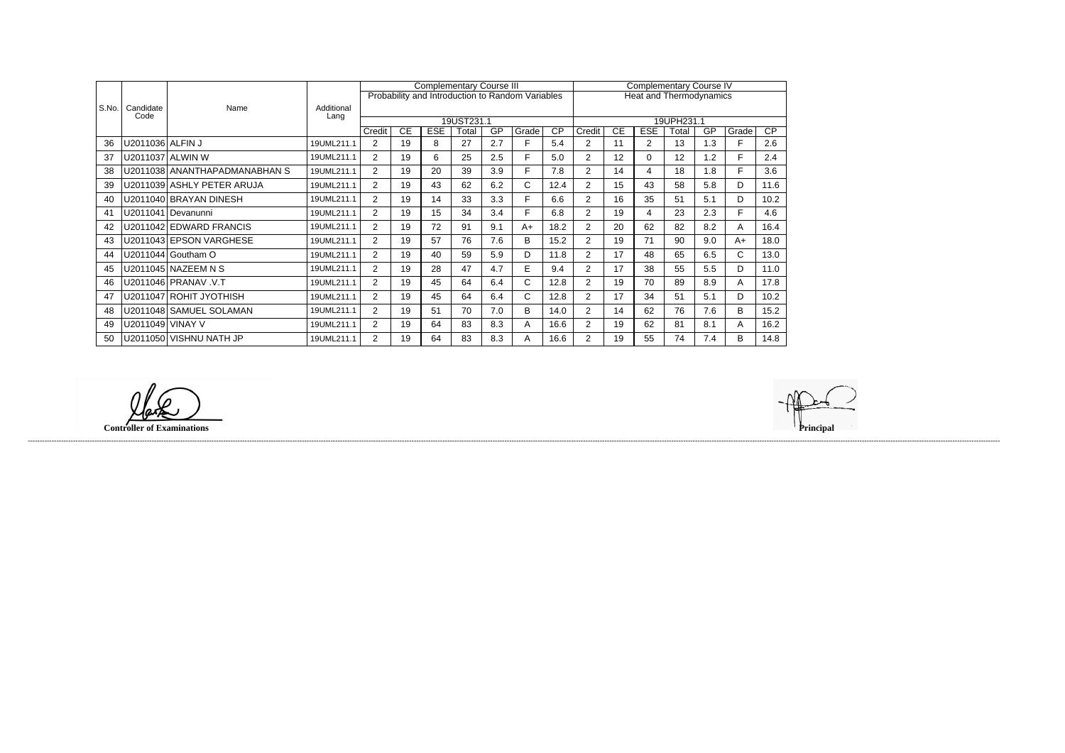|       |                   |                               |                    |                |    | <b>Complementary Course III</b> |            |     |                                                  | <b>Complementary Course IV</b> |                                |           |             |       |     |       |      |  |
|-------|-------------------|-------------------------------|--------------------|----------------|----|---------------------------------|------------|-----|--------------------------------------------------|--------------------------------|--------------------------------|-----------|-------------|-------|-----|-------|------|--|
|       |                   |                               |                    |                |    |                                 |            |     | Probability and Introduction to Random Variables |                                | <b>Heat and Thermodynamics</b> |           |             |       |     |       |      |  |
| S.No. | Candidate<br>Code | Name                          | Additional<br>Lang |                |    |                                 |            |     |                                                  |                                |                                |           |             |       |     |       |      |  |
|       |                   |                               |                    |                |    |                                 | 19UST231.1 |     |                                                  |                                | 19UPH231.1                     |           |             |       |     |       |      |  |
|       |                   |                               |                    | Credit         | CE | <b>ESE</b>                      | Total      | GP  | Grade                                            | $\overline{CP}$                | Credit                         | <b>CE</b> | <b>ESE</b>  | Total | GP  | Grade | CP   |  |
| 36    | U2011036 ALFIN J  |                               | 19UML211.1         | 2              | 19 | 8                               | 27         | 2.7 | F.                                               | 5.4                            | 2                              | 11        | 2           | 13    | 1.3 | F     | 2.6  |  |
| 37    |                   | U2011037 ALWIN W              | 19UML211.1         | $\overline{2}$ | 19 | 6                               | 25         | 2.5 | F.                                               | 5.0                            | 2                              | 12        | $\mathbf 0$ | 12    | 1.2 | F     | 2.4  |  |
| 38    |                   | U2011038 ANANTHAPADMANABHAN S | 19UML211.1         | $\overline{2}$ | 19 | 20                              | 39         | 3.9 | F.                                               | 7.8                            | $\overline{2}$                 | 14        | 4           | 18    | 1.8 | F     | 3.6  |  |
| 39    |                   | U2011039 ASHLY PETER ARUJA    | 19UML211.1         | $\overline{2}$ | 19 | 43                              | 62         | 6.2 | C.                                               | 12.4                           | $\overline{2}$                 | 15        | 43          | 58    | 5.8 | D     | 11.6 |  |
| 40    |                   | U2011040 BRAYAN DINESH        | 19UML211.1         | $\overline{2}$ | 19 | 14                              | 33         | 3.3 | F.                                               | 6.6                            | $\overline{2}$                 | 16        | 35          | 51    | 5.1 | D     | 10.2 |  |
| 41    |                   | U2011041   Devanunni          | 19UML211.1         | $\overline{2}$ | 19 | 15                              | 34         | 3.4 | F.                                               | 6.8                            | $\overline{2}$                 | 19        | 4           | 23    | 2.3 | F.    | 4.6  |  |
| 42    |                   | U2011042 EDWARD FRANCIS       | 19UML211.1         | $\overline{2}$ | 19 | 72                              | 91         | 9.1 | $A+$                                             | 18.2                           | 2                              | 20        | 62          | 82    | 8.2 | A     | 16.4 |  |
| 43    |                   | U2011043 EPSON VARGHESE       | 19UML211.1         | $\overline{2}$ | 19 | 57                              | 76         | 7.6 | B.                                               | 15.2                           | $\overline{2}$                 | 19        | 71          | 90    | 9.0 | $A+$  | 18.0 |  |
| 44    |                   | U2011044 Goutham O            | 19UML211.1         | $\overline{2}$ | 19 | 40                              | 59         | 5.9 | D                                                | 11.8                           | $\overline{2}$                 | 17        | 48          | 65    | 6.5 | C.    | 13.0 |  |
| 45    |                   | U2011045 NAZEEM N S           | 19UML211.1         | $\overline{2}$ | 19 | 28                              | 47         | 4.7 | E.                                               | 9.4                            | $\overline{2}$                 | 17        | 38          | 55    | 5.5 | D     | 11.0 |  |
| 46    |                   | U2011046 PRANAV .V.T          | 19UML211.1         | $\overline{2}$ | 19 | 45                              | 64         | 6.4 | C.                                               | 12.8                           | $\overline{2}$                 | 19        | 70          | 89    | 8.9 | A     | 17.8 |  |
| 47    |                   | U2011047 ROHIT JYOTHISH       | 19UML211.1         | $\overline{2}$ | 19 | 45                              | 64         | 6.4 | C.                                               | 12.8                           | 2                              | 17        | 34          | 51    | 5.1 | D     | 10.2 |  |
| 48    |                   | U2011048 SAMUEL SOLAMAN       | 19UML211.1         | 2              | 19 | 51                              | 70         | 7.0 | B.                                               | 14.0                           | $\overline{2}$                 | 14        | 62          | 76    | 7.6 | B     | 15.2 |  |
| 49    | U2011049 VINAY V  |                               | 19UML211.1         | $\overline{2}$ | 19 | 64                              | 83         | 8.3 | A                                                | 16.6                           | $\overline{2}$                 | 19        | 62          | 81    | 8.1 | A     | 16.2 |  |
| 50    |                   | U2011050 VISHNU NATH JP       | 19UML211.1         | 2              | 19 | 64                              | 83         | 8.3 | A                                                | 16.6                           | 2                              | 19        | 55          | 74    | 7.4 | B     | 14.8 |  |

**Controller of Examinations** 

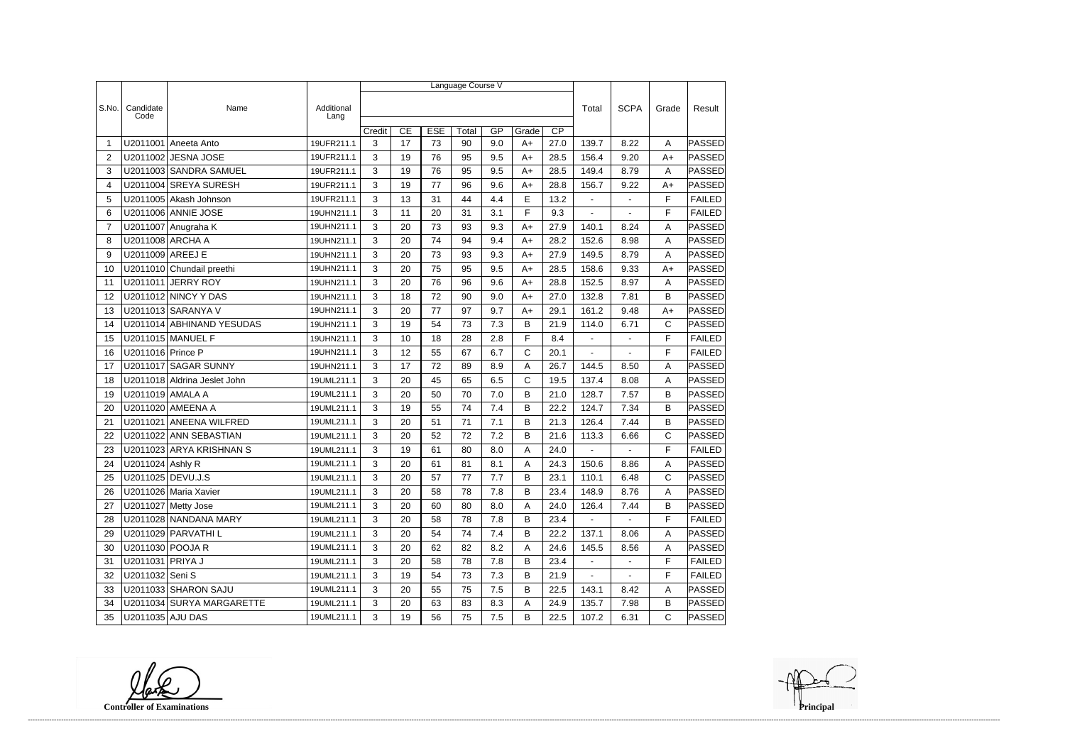|                |                   |                              |                    | Language Course V |    |            |        |     |       |                 |                |                |              |               |
|----------------|-------------------|------------------------------|--------------------|-------------------|----|------------|--------|-----|-------|-----------------|----------------|----------------|--------------|---------------|
|                |                   |                              |                    |                   |    |            |        |     |       |                 |                |                |              |               |
| S.No.          | Candidate<br>Code | Name                         | Additional<br>Lang |                   |    |            |        |     |       |                 | Total          | <b>SCPA</b>    | Grade        | Result        |
|                |                   |                              |                    | Credit            | CE | <b>ESE</b> | Total  | GP  | Grade | $\overline{CP}$ |                |                |              |               |
| -1             | U2011001          | Aneeta Anto                  | 19UFR211.1         | 3                 | 17 | 73         | 90     | 9.0 | $A+$  | 27.0            | 139.7          | 8.22           | A            | PASSED        |
| $\overline{2}$ |                   | U2011002 JESNA JOSE          | 19UFR211.1         | 3                 | 19 | 76         | 95     | 9.5 | A+    | 28.5            | 156.4          | 9.20           | $A+$         | PASSED        |
| 3              |                   | U2011003 SANDRA SAMUEL       | 19UFR211.1         | 3                 | 19 | 76         | 95     | 9.5 | $A+$  | 28.5            | 149.4          | 8.79           | Α            | <b>PASSED</b> |
| 4              |                   | U2011004 SREYA SURESH        | 19UFR211.1         | 3                 | 19 | 77         | 96     | 9.6 | $A+$  | 28.8            | 156.7          | 9.22           | $A+$         | PASSED        |
| 5              |                   | U2011005 Akash Johnson       | 19UFR211.1         | 3                 | 13 | 31         | 44     | 4.4 | E     | 13.2            | $\blacksquare$ | $\overline{a}$ | F            | <b>FAILED</b> |
| 6              |                   | U2011006 ANNIE JOSE          | 19UHN211.1         | 3                 | 11 | 20         | 31     | 3.1 | F     | 9.3             |                |                | F            | <b>FAILED</b> |
| $\overline{7}$ |                   | U2011007 Anugraha K          | 19UHN211.1         | 3                 | 20 | 73         | 93     | 9.3 | $A+$  | 27.9            | 140.1          | 8.24           | A            | <b>PASSED</b> |
| 8              | U2011008 ARCHA A  |                              | 19UHN211.1         | 3                 | 20 | 74         | 94     | 9.4 | $A+$  | 28.2            | 152.6          | 8.98           | Α            | <b>PASSED</b> |
| 9              | U2011009 AREEJ E  |                              | 19UHN211.1         | 3                 | 20 | 73         | 93     | 9.3 | $A+$  | 27.9            | 149.5          | 8.79           | A            | PASSED        |
| 10             |                   | U2011010 Chundail preethi    | 19UHN211.1         | 3                 | 20 | 75         | 95     | 9.5 | $A+$  | 28.5            | 158.6          | 9.33           | $A+$         | PASSED        |
| 11             | U2011011          | JERRY ROY                    | 19UHN211.1         | 3                 | 20 | 76         | 96     | 9.6 | $A+$  | 28.8            | 152.5          | 8.97           | A            | PASSED        |
| 12             |                   | U2011012 NINCY Y DAS         | 19UHN211.1         | 3                 | 18 | 72         | 90     | 9.0 | $A+$  | 27.0            | 132.8          | 7.81           | $\mathsf B$  | <b>PASSED</b> |
| 13             |                   | U2011013 SARANYA V           | 19UHN211.1         | 3                 | 20 | 77         | 97     | 9.7 | $A+$  | 29.1            | 161.2          | 9.48           | $A+$         | <b>PASSED</b> |
| 14             |                   | U2011014 ABHINAND YESUDAS    | 19UHN211.1         | 3                 | 19 | 54         | 73     | 7.3 | B     | 21.9            | 114.0          | 6.71           | $\mathsf{C}$ | PASSED        |
| 15             |                   | U2011015 MANUEL F            | 19UHN211.1         | 3                 | 10 | 18         | 28     | 2.8 | F     | 8.4             | $\blacksquare$ | $\blacksquare$ | F            | <b>FAILED</b> |
| 16             | U2011016 Prince P |                              | 19UHN211.1         | 3                 | 12 | 55         | 67     | 6.7 | C     | 20.1            |                |                | F            | <b>FAILED</b> |
| 17             |                   | U2011017 SAGAR SUNNY         | 19UHN211.1         | 3                 | 17 | 72         | 89     | 8.9 | A     | 26.7            | 144.5          | 8.50           | A            | <b>PASSED</b> |
| 18             |                   | U2011018 Aldrina Jeslet John | 19UML211.1         | 3                 | 20 | 45         | 65     | 6.5 | C     | 19.5            | 137.4          | 8.08           | Α            | <b>PASSED</b> |
| 19             | U2011019 AMALA A  |                              | 19UML211.1         | 3                 | 20 | 50         | 70     | 7.0 | B     | 21.0            | 128.7          | 7.57           | B            | PASSED        |
| 20             |                   | U2011020 AMEENA A            | 19UML211.1         | 3                 | 19 | 55         | 74     | 7.4 | B     | 22.2            | 124.7          | 7.34           | B            | PASSED        |
| 21             | U2011021          | <b>ANEENA WILFRED</b>        | 19UML211.1         | 3                 | 20 | 51         | 71     | 7.1 | B     | 21.3            | 126.4          | 7.44           | B            | PASSED        |
| 22             |                   | U2011022 ANN SEBASTIAN       | 19UML211.1         | 3                 | 20 | 52         | 72     | 7.2 | B     | 21.6            | 113.3          | 6.66           | $\mathsf C$  | <b>PASSED</b> |
| 23             |                   | U2011023 ARYA KRISHNAN S     | 19UML211.1         | 3                 | 19 | 61         | 80     | 8.0 | Α     | 24.0            |                |                | F            | <b>FAILED</b> |
| 24             | U2011024 Ashly R  |                              | 19UML211.1         | 3                 | 20 | 61         | 81     | 8.1 | Α     | 24.3            | 150.6          | 8.86           | A            | PASSED        |
| 25             | U2011025 DEVU.J.S |                              | 19UML211.1         | 3                 | 20 | 57         | $77\,$ | 7.7 | B     | 23.1            | 110.1          | 6.48           | С            | <b>PASSED</b> |
| 26             |                   | U2011026 Maria Xavier        | 19UML211.1         | 3                 | 20 | 58         | 78     | 7.8 | B     | 23.4            | 148.9          | 8.76           | A            | <b>PASSED</b> |
| 27             |                   | U2011027 Metty Jose          | 19UML211.1         | 3                 | 20 | 60         | 80     | 8.0 | Α     | 24.0            | 126.4          | 7.44           | B            | PASSED        |
| 28             |                   | U2011028 NANDANA MARY        | 19UML211.1         | 3                 | 20 | 58         | 78     | 7.8 | B     | 23.4            | $\sim$         | $\blacksquare$ | F            | <b>FAILED</b> |
| 29             |                   | U2011029 PARVATHI L          | 19UML211.1         | 3                 | 20 | 54         | 74     | 7.4 | В     | 22.2            | 137.1          | 8.06           | A            | <b>PASSED</b> |
| 30             | U2011030 POOJA R  |                              | 19UML211.1         | 3                 | 20 | 62         | 82     | 8.2 | A     | 24.6            | 145.5          | 8.56           | A            | PASSED        |
| 31             | U2011031 PRIYA J  |                              | 19UML211.1         | 3                 | 20 | 58         | 78     | 7.8 | B     | 23.4            | $\sim$         | $\blacksquare$ | F            | <b>FAILED</b> |
| 32             | U2011032 Seni S   |                              | 19UML211.1         | 3                 | 19 | 54         | 73     | 7.3 | B     | 21.9            | $\sim$         | $\sim$         | F            | <b>FAILED</b> |
| 33             |                   | U2011033 SHARON SAJU         | 19UML211.1         | 3                 | 20 | 55         | 75     | 7.5 | B     | 22.5            | 143.1          | 8.42           | A            | PASSED        |
| 34             |                   | U2011034 SURYA MARGARETTE    | 19UML211.1         | 3                 | 20 | 63         | 83     | 8.3 | A     | 24.9            | 135.7          | 7.98           | B            | <b>PASSED</b> |
| 35             | U2011035 AJU DAS  |                              | 19UML211.1         | $\mathbf{3}$      | 19 | 56         | 75     | 7.5 | B     | 22.5            | 107.2          | 6.31           | $\mathsf C$  | <b>PASSED</b> |

**Controller of Examinations**